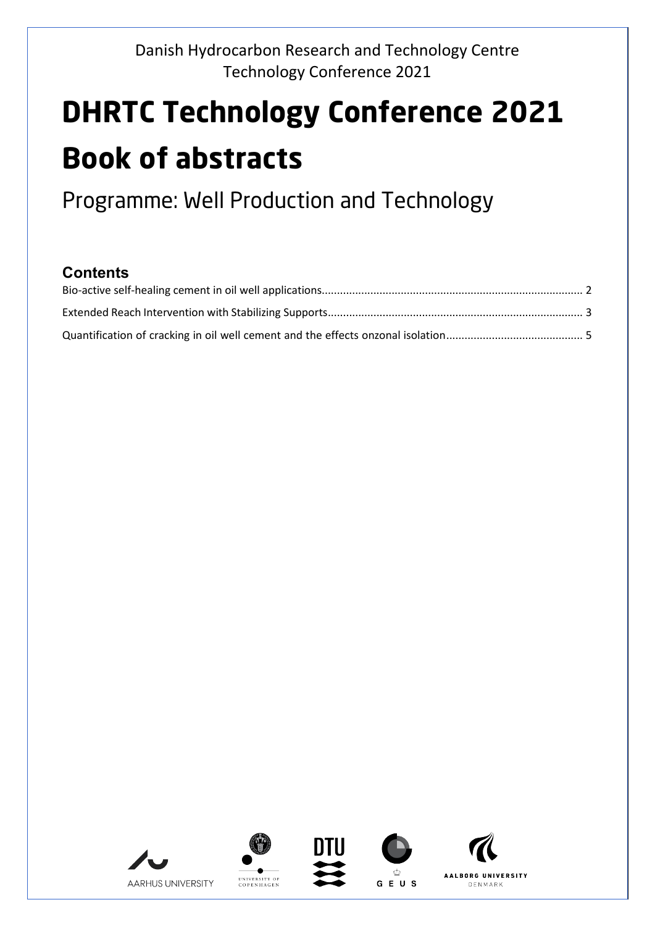# **DHRTC Technology Conference 2021 Book of abstracts**

Programme: Well Production and Technology

#### **Contents**











DENMARK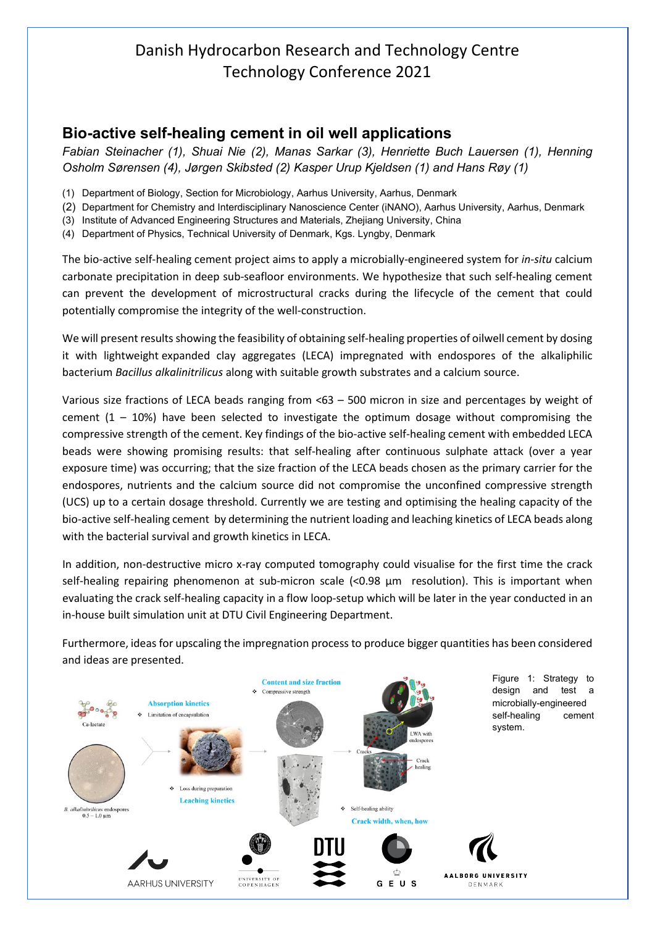#### <span id="page-1-0"></span>**Bio-active self-healing cement in oil well applications**

*Fabian Steinacher (1), Shuai Nie (2), Manas Sarkar (3), Henriette Buch Lauersen (1), Henning Osholm Sørensen (4), Jørgen Skibsted (2) Kasper Urup Kjeldsen (1) and Hans Røy (1)*

- (1) Department of Biology, Section for Microbiology, Aarhus University, Aarhus, Denmark
- (2) Department for Chemistry and Interdisciplinary Nanoscience Center (iNANO), Aarhus University, Aarhus, Denmark
- (3) Institute of Advanced Engineering Structures and Materials, Zhejiang University, China
- (4) Department of Physics, Technical University of Denmark, Kgs. Lyngby, Denmark

The bio-active self-healing cement project aims to apply a microbially-engineered system for *in-situ* calcium carbonate precipitation in deep sub-seafloor environments. We hypothesize that such self-healing cement can prevent the development of microstructural cracks during the lifecycle of the cement that could potentially compromise the integrity of the well-construction.

We will present results showing the feasibility of obtaining self-healing properties of oilwell cement by dosing it with lightweight expanded clay aggregates (LECA) impregnated with endospores of the alkaliphilic bacterium *Bacillus alkalinitrilicus* along with suitable growth substrates and a calcium source.

Various size fractions of LECA beads ranging from <63 – 500 micron in size and percentages by weight of cement  $(1 - 10%)$  have been selected to investigate the optimum dosage without compromising the compressive strength of the cement. Key findings of the bio-active self-healing cement with embedded LECA beads were showing promising results: that self-healing after continuous sulphate attack (over a year exposure time) was occurring; that the size fraction of the LECA beads chosen as the primary carrier for the endospores, nutrients and the calcium source did not compromise the unconfined compressive strength (UCS) up to a certain dosage threshold. Currently we are testing and optimising the healing capacity of the bio-active self-healing cement by determining the nutrient loading and leaching kinetics of LECA beads along with the bacterial survival and growth kinetics in LECA.

In addition, non-destructive micro x-ray computed tomography could visualise for the first time the crack self-healing repairing phenomenon at sub-micron scale (<0.98 µm resolution). This is important when evaluating the crack self-healing capacity in a flow loop-setup which will be later in the year conducted in an in-house built simulation unit at DTU Civil Engineering Department.

Furthermore, ideas for upscaling the impregnation process to produce bigger quantities has been considered and ideas are presented.

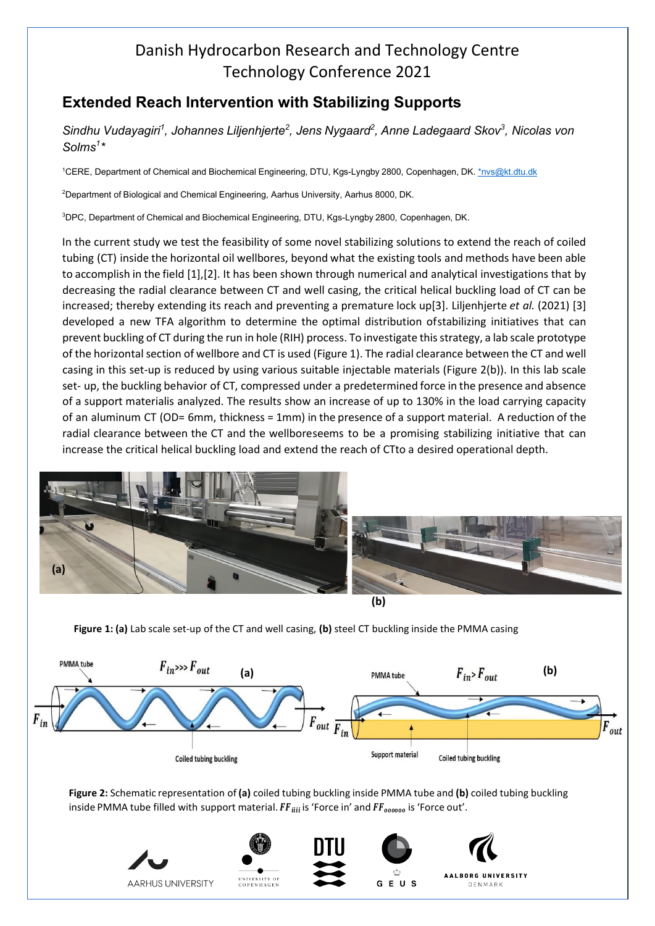#### <span id="page-2-0"></span>**Extended Reach Intervention with Stabilizing Supports**

*Sindhu Vudayagiri1 , Johannes Liljenhjerte2 , Jens Nygaard2 , Anne Ladegaard Skov<sup>3</sup> , Nicolas von Solms1 \**

<sup>1</sup>CERE, Department of Chemical and Biochemical Engineering, DTU, Kgs-Lyngby 2800, Copenhagen, DK. <u>[\\*nvs@kt.dtu.dk](mailto:%2Anvs@kt.dtu.dk)</u>

2 Department of Biological and Chemical Engineering, Aarhus University, Aarhus 8000, DK.

3 DPC, Department of Chemical and Biochemical Engineering, DTU, Kgs-Lyngby 2800, Copenhagen, DK.

In the current study we test the feasibility of some novel stabilizing solutions to extend the reach of coiled tubing (CT) inside the horizontal oil wellbores, beyond what the existing tools and methods have been able to accomplish in the field [1],[2]. It has been shown through numerical and analytical investigations that by decreasing the radial clearance between CT and well casing, the critical helical buckling load of CT can be increased; thereby extending its reach and preventing a premature lock up[3]. Liljenhjerte *et al.* (2021) [3] developed a new TFA algorithm to determine the optimal distribution ofstabilizing initiatives that can prevent buckling of CT during the run in hole (RIH) process. To investigate this strategy, a lab scale prototype of the horizontal section of wellbore and CT is used (Figure 1). The radial clearance between the CT and well casing in this set-up is reduced by using various suitable injectable materials (Figure 2(b)). In this lab scale set- up, the buckling behavior of CT, compressed under a predetermined force in the presence and absence of a support materialis analyzed. The results show an increase of up to 130% in the load carrying capacity of an aluminum CT (OD= 6mm, thickness = 1mm) in the presence of a support material. A reduction of the radial clearance between the CT and the wellboreseems to be a promising stabilizing initiative that can increase the critical helical buckling load and extend the reach of CTto a desired operational depth.







**Figure 1: (a)** Lab scale set-up of the CT and well casing, **(b)** steel CT buckling inside the PMMA casing



**Figure 2:** Schematic representation of **(a)** coiled tubing buckling inside PMMA tube and **(b)** coiled tubing buckling inside PMMA tube filled with support material.  $FF_{iiii}$  is 'Force in' and  $FF_{000000}$  is 'Force out'.

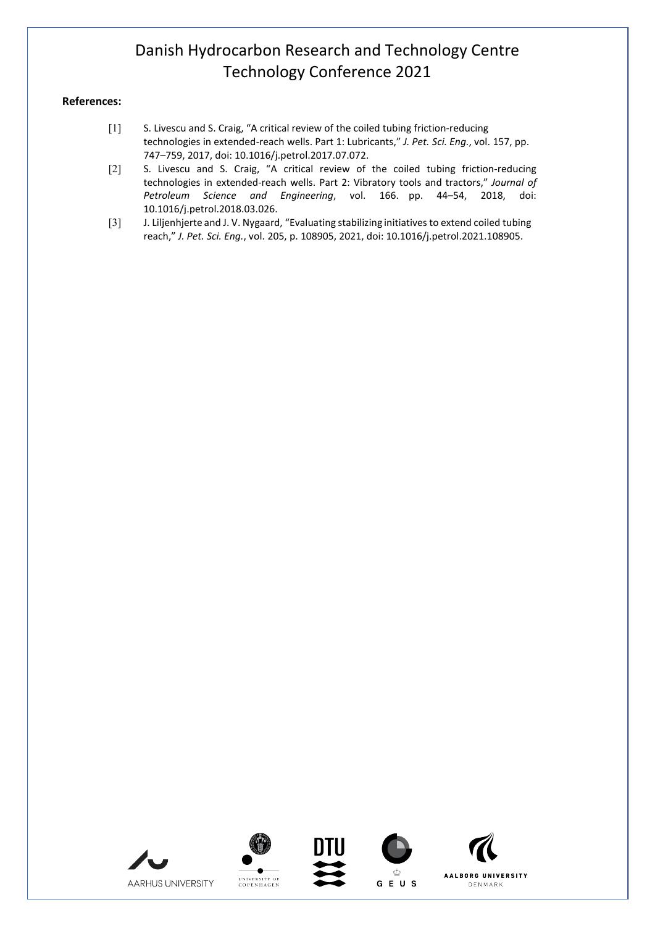#### **References:**

- [1] S. Livescu and S. Craig, "A critical review of the coiled tubing friction-reducing technologies in extended-reach wells. Part 1: Lubricants," *J. Pet. Sci. Eng.*, vol. 157, pp. 747–759, 2017, doi: 10.1016/j.petrol.2017.07.072.
- [2] S. Livescu and S. Craig, "A critical review of the coiled tubing friction-reducing technologies in extended-reach wells. Part 2: Vibratory tools and tractors," *Journal of Petroleum Science and Engineering*, vol. 166. pp. 44–54, 2018, doi: 10.1016/j.petrol.2018.03.026.
- [3] J. Liljenhjerte and J. V. Nygaard, "Evaluating stabilizing initiatives to extend coiled tubing reach," *J. Pet. Sci. Eng.*, vol. 205, p. 108905, 2021, doi: 10.1016/j.petrol.2021.108905.











DENMARK